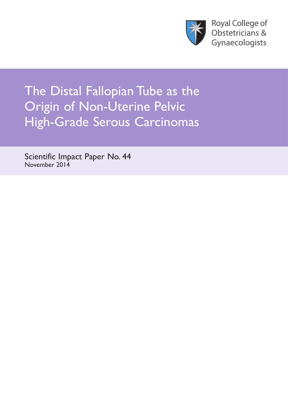

**Royal College of** Obstetricians & Gynaecologists

The Distal Fallopian Tube as the Origin of Non-Uterine Pelvic High-Grade Serous Carcinomas

Scientific Impact Paper No. 44 November 2014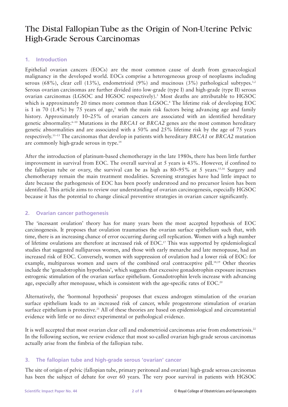# The Distal Fallopian Tube as the Origin of Non-Uterine Pelvic High-Grade Serous Carcinomas

## **1. Introduction**

Epithelial ovarian cancers (EOCs) are the most common cause of death from gynaecological malignancy in the developed world. EOCs comprise a heterogeneous group of neoplasms including serous (68%), clear cell (13%), endometrioid (9%) and mucinous (3%) pathological subtypes.<sup>1,2</sup> Serous ovarian carcinomas are further divided into low-grade (type I) and high-grade (type II) serous ovarian carcinomas (LGSOC and HGSOC respectively).3 Most deaths are attributable to HGSOC which is approximately 20 times more common than LGSOC.<sup>4</sup> The lifetime risk of developing EOC is 1 in 70 (1.4%) by 75 years of age,<sup>5</sup> with the main risk factors being advancing age and family history. Approximately 10–25% of ovarian cancers are associated with an identified hereditary genetic abnormality.6–10 Mutations in the *BRCA1* or *BRCA2* genes are the most common hereditary genetic abnormalities and are associated with a 50% and 25% lifetime risk by the age of 75 years respectively.11–13 The carcinomas that develop in patients with hereditary *BRCA1* or *BRCA2* mutation are commonly high-grade serous in type.14

After the introduction of platinum-based chemotherapy in the late 1980s, there has been little further improvement in survival from EOC. The overall survival at 5 years is 43%. However, if confined to the fallopian tube or ovary, the survival can be as high as  $80-95\%$  at 5 years.<sup>15,16</sup> Surgery and chemotherapy remain the main treatment modalities. Screening strategies have had little impact to date because the pathogenesis of EOC has been poorly understood and no precursor lesion has been identified. This article aims to review our understanding of ovarian carcinogenesis, especially HGSOC because it has the potential to change clinical preventive strategies in ovarian cancer significantly.

### **2. Ovarian cancer pathogenesis**

The 'incessant ovulation' theory has for many years been the most accepted hypothesis of EOC carcinogenesis. It proposes that ovulation traumatises the ovarian surface epithelium such that, with time, there is an increasing chance of error occurring during cell replication. Women with a high number of lifetime ovulations are therefore at increased risk of EOC.17 This was supported by epidemiological studies that suggested nulliparous women, and those with early menarche and late menopause, had an increased risk of EOC. Conversely, women with suppression of ovulation had a lower risk of EOC: for example, multiparous women and users of the combined oral contraceptive pill.<sup>18,19</sup> Other theories include the 'gonadotrophin hypothesis', which suggests that excessive gonadotrophin exposure increases estrogenic stimulation of the ovarian surface epithelium. Gonadotrophin levels increase with advancing age, especially after menopause, which is consistent with the age-specific rates of EOC.<sup>20</sup>

Alternatively, the 'hormonal hypothesis' proposes that excess androgen stimulation of the ovarian surface epithelium leads to an increased risk of cancer, while progesterone stimulation of ovarian surface epithelium is protective.<sup>21</sup> All of these theories are based on epidemiological and circumstantial evidence with little or no direct experimental or pathological evidence.

It is well accepted that most ovarian clear cell and endometrioid carcinomas arise from endometriosis.<sup>22</sup> In the following section, we review evidence that most so-called ovarian high-grade serous carcinomas actually arise from the fimbria of the fallopian tube.

### **3. The fallopian tube and high-grade serous 'ovarian' cancer**

The site of origin of pelvic (fallopian tube, primary peritoneal and ovarian) high-grade serous carcinomas has been the subject of debate for over 60 years. The very poor survival in patients with HGSOC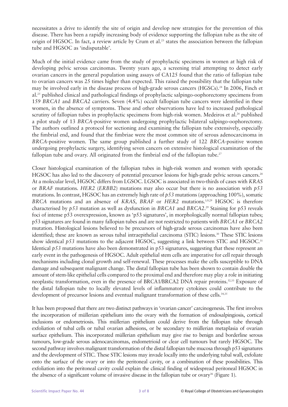necessitates a drive to identify the site of origin and develop new strategies for the prevention of this disease. There has been a rapidly increasing body of evidence supporting the fallopian tube as the site of origin of HGSOC. In fact, a review article by Crum et al.<sup>23</sup> states the association between the fallopian tube and HGSOC as 'indisputable'.

Much of the initial evidence came from the study of prophylactic specimens in women at high risk of developing pelvic serous carcinomas. Twenty years ago, a screening trial attempting to detect early ovarian cancers in the general population using assays of CA125 found that the ratio of fallopian tube to ovarian cancers was 25 times higher than expected. This raised the possibility that the fallopian tube may be involved early in the disease process of high-grade serous cancers (HGSCs).<sup>24</sup> In 2006, Finch et al.25 published clinical and pathological findings of prophylactic salpingo-oophorectomy specimens from 159 *BRCA1* and *BRCA2* carriers. Seven (4.4%) occult fallopian tube cancers were identified in these women, in the absence of symptoms. These and other observations have led to increased pathological scrutiny of fallopian tubes in prophylactic specimens from high-risk women. Medeiros et al.<sup>26</sup> published a pilot study of 13 *BRCA*-positive women undergoing prophylactic bilateral salpingo-oophorectomy. The authors outlined a protocol for sectioning and examining the fallopian tube extensively, especially the fimbrial end, and found that the fimbriae were the most common site of serous adenocarcinoma in *BRCA*-positive women. The same group published a further study of 122 *BRCA*-positive women undergoing prophylactic surgery, identifying seven cancers on extensive histological examination of the fallopian tube and ovary. All originated from the fimbrial end of the fallopian tube.<sup>27</sup>

Closer histological examination of the fallopian tubes in high-risk women and women with sporadic HGSOC has also led to the discovery of potential precursor lesions for high-grade pelvic serous cancers.<sup>28</sup> At a molecular level, HGSOC differs from LGSOC. LGSOC is associated in two-thirds of cases with *KRAS* or *BRAF* mutations. *HER2* (*ERBB2*) mutations may also occur but there is no association with *p53* mutations. In contrast, HGSOC has an extremely high rate of *p53* mutations (approaching 100%), somatic *BRCA* mutations and an absence of *KRAS*, *BRAF* or *HER2* mutations.3,9,29 HGSOC is therefore characterised by *p53* mutation as well as dysfunction in *BRCA1* and *BRCA2*. <sup>29</sup> Staining for p53 reveals foci of intense p53 overexpression, known as 'p53 signatures', in morphologically normal fallopian tubes; p53 signatures are found in many fallopian tubes and are not restricted to patients with *BRCA1* or *BRCA2* mutation. Histological lesions believed to be precursors of high-grade serous carcinomas have also been identified; these are known as serous tubal intraepithelial carcinoma (STIC) lesions.<sup>30</sup> These STIC lesions show identical  $p53$  mutations to the adjacent HGSOC, suggesting a link between STIC and HGSOC.<sup>31</sup> Identical  $p53$  mutations have also been demonstrated in p53 signatures, suggesting that these represent an early event in the pathogenesis of HGSOC. Adult epithelial stem cells are imperative for cell repair through mechanisms including clonal growth and self-renewal. These processes make the cells susceptible to DNA damage and subsequent malignant change. The distal fallopian tube has been shown to contain double the amount of stem-like epithelial cells compared to the proximal end and therefore may play a role in initiating neoplastic transformation, even in the presence of BRCA1/BRCA2 DNA repair proteins.<sup>32,33</sup> Exposure of the distal fallopian tube to locally elevated levels of inflammatory cytokines could contribute to the development of precursor lesions and eventual malignant transformation of these cells.<sup>34,35</sup>

It has been proposed that there are two distinct pathways in 'ovarian cancer' carcinogenesis. The first involves the incorporation of müllerian epithelium into the ovary with the formation of endosalpingiosis, cortical inclusions or endometriosis. This müllerian epithelium could derive from the fallopian tube through exfoliation of tubal cells or tubal ovarian adhesions, or be secondary to müllerian metaplasia of ovarian surface epithelium. This incorporated müllerian epithelium may give rise to benign and borderline serous tumours, low-grade serous adenocarcinomas, endometrioid or clear cell tumours but rarely HGSOC. The second pathway involves malignant transformation of the distal fallopian tube mucosa through p53 signatures and the development of STIC. These STIC lesions may invade locally into the underlying tubal wall, exfoliate onto the surface of the ovary or into the peritoneal cavity, or a combination of these possibilities. This exfoliation into the peritoneal cavity could explain the clinical finding of widespread peritoneal HGSOC in the absence of a significant volume of invasive disease in the fallopian tube or ovary<sup>36</sup> (Figure 1).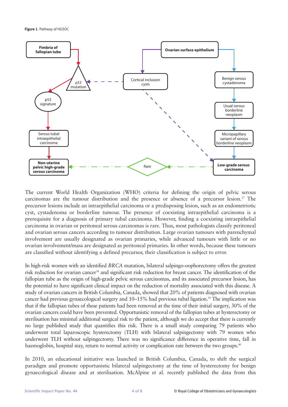**Figure 1**. Pathway of HGSOC



The current World Health Organization (WHO) criteria for defining the origin of pelvic serous carcinomas are the tumour distribution and the presence or absence of a precursor lesion.<sup>37</sup> The precursor lesions include an intraepithelial carcinoma or a predisposing lesion, such as an endometriotic cyst, cystadenoma or borderline tumour. The presence of coexisting intraepithelial carcinoma is a prerequisite for a diagnosis of primary tubal carcinoma. However, finding a coexisting intraepithelial carcinoma in ovarian or peritoneal serous carcinomas is rare. Thus, most pathologists classify peritoneal and ovarian serous cancers according to tumour distribution. Large ovarian tumours with parenchymal involvement are usually designated as ovarian primaries, while advanced tumours with little or no ovarian involvement/mass are designated as peritoneal primaries. In other words, because these tumours are classified without identifying a defined precursor, their classification is subject to error.

In high-risk women with an identified *BRCA* mutation, bilateral salpingo-oophorectomy offers the greatest risk reduction for ovarian cancer<sup>38</sup> and significant risk reduction for breast cancer. The identification of the fallopian tube as the origin of high-grade pelvic serous carcinomas, and its associated precursor lesion, has the potential to have significant clinical impact on the reduction of mortality associated with this disease. A study of ovarian cancers in British Columbia, Canada, showed that 20% of patients diagnosed with ovarian cancer had previous gynaecological surgery and 10–15% had previous tubal ligation.<sup>39</sup> The implication was that if the fallopian tubes of these patients had been removed at the time of their initial surgery, 30% of the ovarian cancers could have been prevented. Opportunistic removal of the fallopian tubes at hysterectomy or sterilisation has minimal additional surgical risk to the patient, although we do accept that there is currently no large published study that quantifies this risk. There is a small study comparing 79 patients who underwent total laparoscopic hysterectomy (TLH) with bilateral salpingectomy with 79 women who underwent TLH without salpingectomy. There was no significance difference in operative time, fall in haemoglobin, hospital stay, return to normal activity or complication rate between the two groups.<sup>40</sup>

In 2010, an educational initiative was launched in British Columbia, Canada, to shift the surgical paradigm and promote opportunistic bilateral salpingectomy at the time of hysterectomy for benign gynaecological disease and at sterilisation. McAlpine et al. recently published the data from this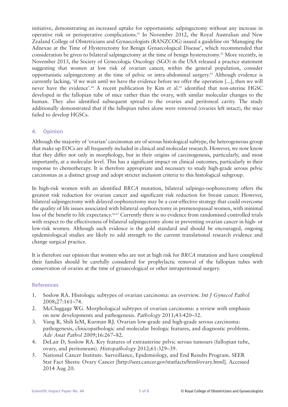initiative, demonstrating an increased uptake for opportunistic salpingectomy without any increase in operative risk or perioperative complications.41 In November 2012, the Royal Australian and New Zealand College of Obstetricians and Gynaecologists (RANZCOG) issued a guideline on 'Managing the Adnexae at the Time of Hysterectomy for Benign Gynaecological Disease', which recommended that consideration be given to bilateral salpingectomy at the time of benign hysterectomy.42 More recently, in November 2013, the Society of Gynecologic Oncology (SGO) in the USA released a practice statement suggesting that women at low risk of ovarian cancer, within the general population, consider opportunistic salpingectomy at the time of pelvic or intra-abdominal surgery.43 Although evidence is currently lacking, 'if we wait until we have the evidence before we offer the operation [...], then we will never have the evidence'.<sup>44</sup> A recent publication by Kim et al.<sup>45</sup> identified that non-uterine HGSC developed in the fallopian tube of mice rather than the ovary, with similar molecular changes to the human. They also identified subsequent spread to the ovaries and peritoneal cavity. The study additionally demonstrated that if the fallopian tubes alone were removed (ovaries left intact), the mice failed to develop HGSCs.

#### **4. Opinion**

Although the majority of 'ovarian' carcinomas are of serous histological subtype, the heterogeneous group that make up EOCs are all frequently included in clinical and molecular research. However, we now know that they differ not only in morphology, but in their origins of carcinogenesis, particularly, and most importantly, at a molecular level. This has a significant impact on clinical outcomes, particularly in their response to chemotherapy. It is therefore appropriate and necessary to study high-grade serous pelvic carcinomas as a distinct group and adopt stricter inclusion criteria to this histological subgroup.

In high-risk women with an identified *BRCA* mutation, bilateral salpingo-oophorectomy offers the greatest risk reduction for ovarian cancer and significant risk reduction for breast cancer. However, bilateral salpingectomy with delayed oophorectomy may be a cost-effective strategy that could overcome the quality of life issues associated with bilateral oophorectomy in premenopausal women, with minimal loss of the benefit to life expectancy.<sup>46,47</sup> Currently there is no evidence from randomised controlled trials with respect to the effectiveness of bilateral salpingectomy alone in preventing ovarian cancer in high- or low-risk women. Although such evidence is the gold standard and should be encouraged, ongoing epidemiological studies are likely to add strength to the current translational research evidence and change surgical practice.

It is therefore our opinion that women who are not at high risk for *BRCA* mutation and have completed their families should be carefully considered for prophylactic removal of the fallopian tubes with conservation of ovaries at the time of gynaecological or other intraperitoneal surgery.

#### **References**

- 1. Soslow RA. Histologic subtypes of ovarian carcinoma: an overview. *Int J Gynecol Pathol* 2008;27:161–74.
- 2. McCluggage WG. Morphological subtypes of ovarian carcinoma: a review with emphasis on new developments and pathogenesis. *Pathology* 2011;43:420–32.
- 3. Vang R, Shih IeM, Kurman RJ. Ovarian low-grade and high-grade serous carcinoma: pathogenesis, clinicopathologic and molecular biologic features, and diagnostic problems. *Adv Anat Pathol* 2009;16:267–82.
- 4. DeLair D, Soslow RA. Key features of extrauterine pelvic serous tumours (fallopian tube, ovary, and peritoneum). *Histopathology* 2012;61:329–39.
- 5. National Cancer Institute. Surveillance, Epidemiology, and End Results Program. SEER Stat Fact Sheets: Ovary Cancer [http://seer.cancer.gov/statfacts/html/ovary.html]. Accessed 2014 Aug 20.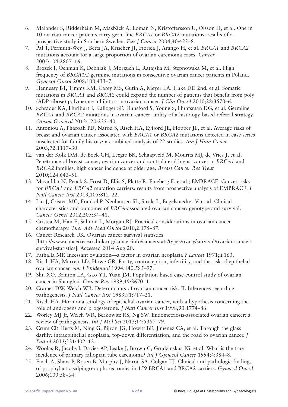- 6. Malander S, Ridderheim M, Måsbäck A, Loman N, Kristoffersson U, Olsson H, et al. One in 10 ovarian cancer patients carry germ line *BRCA1* or *BRCA2* mutations: results of a prospective study in Southern Sweden. *Eur J Cancer* 2004;40:422–8.
- 7. Pal T, Permuth-Wey J, Betts JA, Krischer JP, Fiorica J, Arango H, et al. *BRCA1* and *BRCA2* mutations account for a large proportion of ovarian carcinoma cases. *Cancer* 2005;104:2807–16.
- 8. Brozek I, Ochman K, Debniak J, Morzuch L, Ratajska M, Stepnowska M, et al. High frequency of *BRCA1/2* germline mutations in consecutive ovarian cancer patients in Poland. *Gynecol Oncol* 2008;108:433–7.
- 9. Hennessy BT, Timms KM, Carey MS, Gutin A, Meyer LA, Flake DD 2nd, et al. Somatic mutations in *BRCA1* and *BRCA2* could expand the number of patients that benefit from poly (ADP ribose) polymerase inhibitors in ovarian cancer. *J Clin Oncol* 2010;28:3570–6.
- 10. Schrader KA, Hurlburt J, Kalloger SE, Hansford S, Young S, Huntsman DG, et al. Germline *BRCA1* and *BRCA2* mutations in ovarian cancer: utility of a histology-based referral strategy. *Obstet Gynecol* 2012;120:235–40.
- 11. Antoniou A, Pharoah PD, Narod S, Risch HA, Eyfjord JE, Hopper JL, et al. Average risks of breast and ovarian cancer associated with *BRCA1* or *BRCA2* mutations detected in case series unselected for family history: a combined analysis of 22 studies. *Am J Hum Genet* 2003;72:1117–30.
- 12. van der Kolk DM, de Bock GH, Leegte BK, Schaapveld M, Mourits MJ, de Vries J, et al. Penetrance of breast cancer, ovarian cancer and contralateral breast cancer in *BRCA1* and *BRCA2* families: high cancer incidence at older age. *Breast Cancer Res Treat* 2010;124:643–51.
- 13. Mavaddat N, Peock S, Frost D, Ellis S, Platte R, Fineberg E, et al.; EMBRACE. Cancer risks for *BRCA1* and *BRCA2* mutation carriers: results from prospective analysis of EMBRACE. *J Natl Cancer Inst* 2013;105:812–22.
- 14. Liu J, Cristea MC, Frankel P, Neuhausen SL, Steele L, Engelstaedter V, et al. Clinical characteristics and outcomes of *BRCA*-associated ovarian cancer: genotype and survival. *Cancer Genet* 2012;205:34–41.
- 15. Cristea M, Han E, Salmon L, Morgan RJ. Practical considerations in ovarian cancer chemotherapy. *Ther Adv Med Oncol* 2010;2:175–87.
- 16. Cancer Research UK. Ovarian cancer survival statistics [http://www.cancerresearchuk.org/cancer-info/cancerstats/types/ovary/survival/ovarian-cancersurvival-statistics]. Accessed 2014 Aug 20.
- 17. Fathalla MF. Incessant ovulation—a factor in ovarian neoplasia ? *Lancet* 1971;ii:163.
- 18. Risch HA, Marrett LD, Howe GR. Parity, contraception, infertility, and the risk of epithelial ovarian cancer. *Am J Epidemiol* 1994;140:585–97.
- 19. Shu XO, Brinton LA, Gao YT, Yuan JM. Population-based case-control study of ovarian cancer in Shanghai. *Cancer Res* 1989;49:3670–4.
- 20. Cramer DW, Welch WR. Determinants of ovarian cancer risk. II. Inferences regarding pathogenesis. *J Natl Cancer Inst* 1983;71:717–21.
- 21. Risch HA. Hormonal etiology of epithelial ovarian cancer, with a hypothesis concerning the role of androgens and progesterone. *J Natl Cancer Inst* 1998;90:1774–86.
- 22. Worley MJ Jr, Welch WR, Berkowitz RS, Ng SW. Endometriosis-associated ovarian cancer: a review of pathogenesis. *Int J Mol Sci* 2013;14:5367–79.
- 23. Crum CP, Herfs M, Ning G, Bijron JG, Howitt BE, Jimenez CA, et al. Through the glass darkly: intraepithelial neoplasia, top-down differentiation, and the road to ovarian cancer. *J Pathol* 2013;231:402–12.
- 24. Woolas R, Jacobs I, Davies AP, Leake J, Brown C, Grudzinskas JG, et al. What is the true incidence of primary fallopian tube carcinoma? *Int J Gynecol Cancer* 1994;4:384–8.
- 25. Finch A, Shaw P, Rosen B, Murphy J, Narod SA, Colgan TJ. Clinical and pathologic findings of prophylactic salpingo-oophorectomies in 159 BRCA1 and BRCA2 carriers. *Gynecol Oncol* 2006;100:58–64.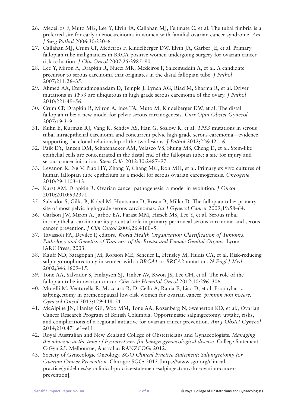- 26. Medeiros F, Muto MG, Lee Y, Elvin JA, Callahan MJ, Feltmate C, et al. The tubal fimbria is a preferred site for early adenocarcinoma in women with familial ovarian cancer syndrome. *Am J Surg Pathol* 2006;30:230–6.
- 27. Callahan MJ, Crum CP, Medeiros F, Kindelberger DW, Elvin JA, Garber JE, et al. Primary fallopian tube malignancies in BRCA-positive women undergoing surgery for ovarian cancer risk reduction. *J Clin Oncol* 2007;25:3985–90.
- 28. Lee Y, Miron A, Drapkin R, Nucci MR, Medeiros F, Saleemuddin A, et al. A candidate precursor to serous carcinoma that originates in the distal fallopian tube. *J Pathol* 2007;211:26–35.
- 29. Ahmed AA, Etemadmoghadam D, Temple J, Lynch AG, Riad M, Sharma R, et al. Driver mutations in *TP53* are ubiquitous in high grade serous carcinoma of the ovary. *J Pathol* 2010;221:49–56.
- 30. Crum CP, Drapkin R, Miron A, Ince TA, Muto M, Kindelberger DW, et al. The distal fallopian tube: a new model for pelvic serous carcinogenesis. *Curr Opin Obstet Gynecol* 2007;19:3–9.
- 31. Kuhn E, Kurman RJ, Vang R, Sehdev AS, Han G, Soslow R, et al. *TP53* mutations in serous tubal intraepithelial carcinoma and concurrent pelvic high-grade serous carcinoma—evidence supporting the clonal relationship of the two lesions. *J Pathol* 2012;226:421–6.
- 32. Paik DY, Janzen DM, Schafenacker AM, Velasco VS, Shung MS, Cheng D, et al. Stem-like epithelial cells are concentrated in the distal end of the fallopian tube: a site for injury and serous cancer initiation. *Stem Cells* 2012;30:2487–97.
- 33. Levanon K, Ng V, Piao HY, Zhang Y, Chang MC, Roh MH, et al. Primary ex vivo cultures of human fallopian tube epithelium as a model for serous ovarian carcinogenesis. *Oncogene* 2010;29:1103–13.
- 34. Karst AM, Drapkin R. Ovarian cancer pathogenesis: a model in evolution. *J Oncol* 2010;2010:932371.
- 35. Salvador S, Gilks B, Köbel M, Huntsman D, Rosen B, Miller D. The fallopian tube: primary site of most pelvic high-grade serous carcinomas. *Int J Gynecol Cancer* 2009;19:58–64.
- 36. Carlson JW, Miron A, Jarboe EA, Parast MM, Hirsch MS, Lee Y, et al. Serous tubal intraepithelial carcinoma: its potential role in primary peritoneal serous carcinoma and serous cancer prevention. *J Clin Oncol* 2008;26:4160–5.
- 37. Tavassoli FA, Devilee P, editors. *World Health Organization Classification of Tumours. Pathology and Genetics of Tumours of the Breast and Female Genital Organs*. Lyon: IARC Press; 2003.
- 38. Kauff ND, Satagopan JM, Robson ME, Scheuer L, Hensley M, Hudis CA, et al. Risk-reducing salpingo-oophorectomy in women with a *BRCA1* or *BRCA2* mutation. *N Engl J Med* 2002;346:1609–15.
- 39. Tone AA, Salvador S, Finlayson SJ, Tinker AV, Kwon JS, Lee CH, et al. The role of the fallopian tube in ovarian cancer. *Clin Adv Hematol Oncol* 2012;10:296–306.
- 40. Morelli M, Venturella R, Mocciaro R, Di Cello A, Rania E, Lico D, et al. Prophylactic salpingectomy in premenopausal low-risk women for ovarian cancer: *primum non nocere*. *Gynecol Oncol* 2013;129:448–51.
- 41. McAlpine JN, Hanley GE, Woo MM, Tone AA, Rozenberg N, Swenerton KD, et al.; Ovarian Cancer Research Program of British Columbia. Opportunistic salpingectomy: uptake, risks, and complications of a regional initiative for ovarian cancer prevention. *Am J Obstet Gynecol* 2014;210:471.e1–e11.
- 42. Royal Australian and New Zealand College of Obstetricians and Gynaecologists. *Managing the adnexae at the time of hysterectomy for benign gynaecological disease.* College Statement C-Gyn 25. Melbourne, Australia: RANZCOG; 2012.
- 43. Society of Gynecologic Oncology. *SGO Clinical Practice Statement: Salpingectomy for Ovarian Cancer Prevention.* Chicago: SGO; 2013 [https://www.sgo.org/clinicalpractice/guidelines/sgo-clinical-practice-statement-salpingectomy-for-ovarian-cancerprevention].